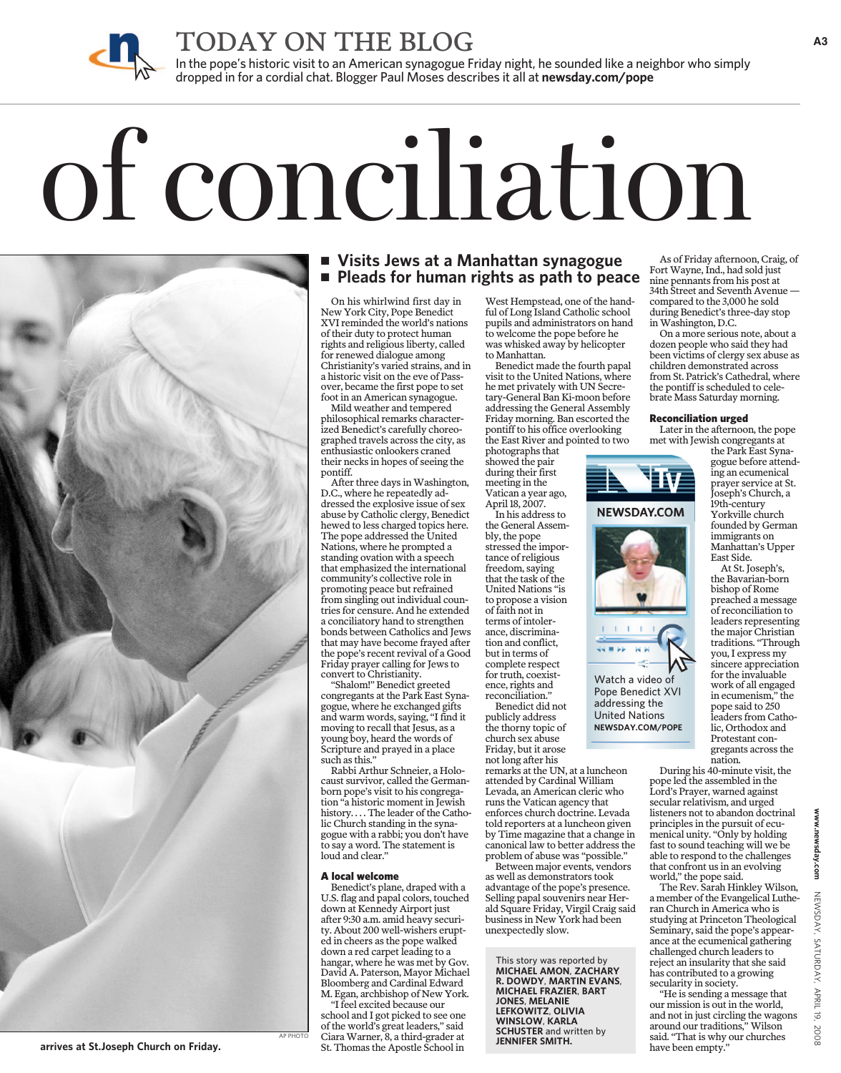

TODAY ON THE BLOG

In the pope's historic visit to an American synagogue Friday night, he sounded like a neighbor who simply dropped in for a cordial chat. Blogger Paul Moses describes it all at **newsday.com/pope**

# of conciliation



# **Visits Jews at a Manhattan synagogue Pleads for human rights as path to peace**

On his whirlwind first day in New York City, Pope Benedict XVI reminded the world's nations of their duty to protect human rights and religious liberty, called for renewed dialogue among Christianity's varied strains, and in a historic visit on the eve of Passover, became the first pope to set foot in an American synagogue.

Mild weather and tempered philosophical remarks characterized Benedict's carefully choreographed travels across the city, as enthusiastic onlookers craned their necks in hopes of seeing the pontiff.

After three days in Washington, D.C., where he repeatedly addressed the explosive issue of sex abuse by Catholic clergy, Benedict hewed to less charged topics here. The pope addressed the United Nations, where he prompted a standing ovation with a speech that emphasized the international community's collective role in promoting peace but refrained from singling out individual countries for censure. And he extended a conciliatory hand to strengthen bonds between Catholics and Jews that may have become frayed after the pope's recent revival of a Good Friday prayer calling for Jews to convert to Christianity.

"Shalom!" Benedict greeted congregants at the Park East Synagogue, where he exchanged gifts and warm words, saying, "I find it moving to recall that Jesus, as a young boy, heard the words of Scripture and prayed in a place such as this."

Rabbi Arthur Schneier, a Holocaust survivor, called the Germanborn pope's visit to his congregation "a historic moment in Jewish history. . . . The leader of the Catholic Church standing in the synagogue with a rabbi; you don't have to say a word. The statement is loud and clear."

### A local welcome

Benedict's plane, draped with a U.S. flag and papal colors, touched down at Kennedy Airport just after 9:30 a.m. amid heavy security. About 200 well-wishers erupted in cheers as the pope walked down a red carpet leading to a hangar, where he was met by Gov. David A. Paterson, Mayor Michael Bloomberg and Cardinal Edward M. Egan, archbishop of New York.

"I feel excited because our school and I got picked to see one of the world's great leaders," said CiaraWarner, 8, a third-grader at St. Thomas the Apostle School in

West Hempstead, one of the handful of Long Island Catholic school pupils and administrators on hand to welcome the pope before he was whisked away by helicopter to Manhattan.

Benedict made the fourth papal visit to the United Nations, where he met privately with UN Secretary-General Ban Ki-moon before addressing the General Assembly Friday morning. Ban escorted the pontiff to his office overlooking the East River and pointed to two

photographs that showed the pair during their first meeting in the Vatican a year ago, April 18, 2007.

In his address to the General Assembly, the pope stressed the importance of religious freedom, saying that the task of the United Nations "is to propose a vision of faith not in terms of intolerance, discrimination and conflict, but in terms of complete respect for truth, coexistence, rights and reconciliation."

Benedict did not publicly address the thorny topic of church sex abuse Friday, but it arose not long after his remarks at the UN, at a luncheon attended by Cardinal William

Levada, an American cleric who runs the Vatican agency that enforces church doctrine. Levada told reporters at a luncheon given by Time magazine that a change in canonical law to better address the problem of abuse was "possible."

Watch a video of Pope Benedict XVI addressing the United Nations **NEWSDAY.COM/POPE**

Between major events, vendors as well as demonstrators took advantage of the pope's presence. Selling papal souvenirs near Herald Square Friday, Virgil Craig said business in New York had been unexpectedly slow.

This story was reported by **MICHAEL AMON**, **ZACHARY R. DOWDY**, **MARTIN EVANS**, **MICHAEL FRAZIER**, **BART JONES**, **MELANIE LEFKOWITZ**, **OLIVIA WINSLOW**, **KARLA SCHUSTER** and written by **JENNIFER SMITH.**

As of Friday afternoon, Craig, of Fort Wayne, Ind., had sold just nine pennants from his post at 34th Street and Seventh Avenue compared to the 3,000 he sold during Benedict's three-day stop inWashington, D.C.

On a more serious note, about a dozen people who said they had been victims of clergy sex abuse as children demonstrated across from St. Patrick's Cathedral, where the pontiff is scheduled to celebrate Mass Saturday morning.

### Reconciliation urged

ΞV

**NEWSDAY.COM** 

Later in the afternoon, the pope met with Jewish congregants at

the Park East Synagogue before attending an ecumenical prayer service at St. Joseph's Church, a 19th-century Yorkville church founded by German immigrants on Manhattan's Upper East Side.

At St. Joseph's, the Bavarian-born bishop of Rome preached a message of reconciliation to leaders representing the major Christian traditions. "Through you, I express my sincere appreciation for the invaluable work of all engaged in ecumenism," the pope said to 250 leaders from Catholic, Orthodox and Protestant congregants across the nation.

During his 40-minute visit, the pope led the assembled in the Lord's Prayer, warned against secular relativism, and urged listeners not to abandon doctrinal principles in the pursuit of ecumenical unity. "Only by holding fast to sound teaching will we be able to respond to the challenges that confront us in an evolving world," the pope said.

The Rev. Sarah Hinkley Wilson, a member of the Evangelical Lutheran Church in America who is studying at Princeton Theological Seminary, said the pope's appearance at the ecumenical gathering challenged church leaders to reject an insularity that she said has contributed to a growing secularity in society.

"He is sending a message that our mission is out in the world, and not in just circling the wagons around our traditions," Wilson said. "That is why our churches have been empty."